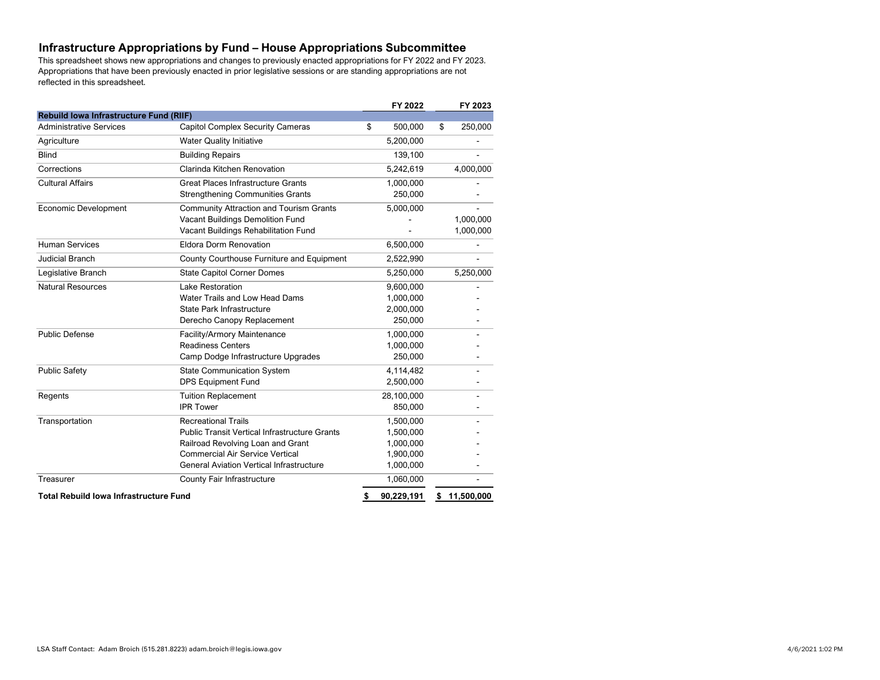## **Infrastructure Appropriations by Fund – House Appropriations Subcommittee**

This spreadsheet shows new appropriations and changes to previously enacted appropriations for FY 2022 and FY 2023. Appropriations that have been previously enacted in prior legislative sessions or are standing appropriations are not reflected in this spreadsheet.

|                                                |                                                      | FY 2022          | FY 2023          |
|------------------------------------------------|------------------------------------------------------|------------------|------------------|
| <b>Rebuild lowa Infrastructure Fund (RIIF)</b> |                                                      |                  |                  |
| <b>Administrative Services</b>                 | <b>Capitol Complex Security Cameras</b>              | \$<br>500,000    | \$<br>250,000    |
| Agriculture                                    | <b>Water Quality Initiative</b>                      | 5,200,000        |                  |
| <b>Blind</b>                                   | <b>Building Repairs</b>                              | 139,100          |                  |
| Corrections                                    | Clarinda Kitchen Renovation                          | 5,242,619        | 4,000,000        |
| <b>Cultural Affairs</b>                        | <b>Great Places Infrastructure Grants</b>            | 1,000,000        |                  |
|                                                | <b>Strengthening Communities Grants</b>              | 250,000          |                  |
| <b>Economic Development</b>                    | <b>Community Attraction and Tourism Grants</b>       | 5,000,000        |                  |
|                                                | Vacant Buildings Demolition Fund                     |                  | 1,000,000        |
|                                                | Vacant Buildings Rehabilitation Fund                 |                  | 1,000,000        |
| <b>Human Services</b>                          | Eldora Dorm Renovation                               | 6,500,000        |                  |
| <b>Judicial Branch</b>                         | County Courthouse Furniture and Equipment            | 2,522,990        |                  |
| Legislative Branch                             | <b>State Capitol Corner Domes</b>                    | 5,250,000        | 5,250,000        |
| <b>Natural Resources</b>                       | Lake Restoration                                     | 9,600,000        |                  |
|                                                | Water Trails and Low Head Dams                       | 1,000,000        |                  |
|                                                | State Park Infrastructure                            | 2,000,000        |                  |
|                                                | Derecho Canopy Replacement                           | 250,000          |                  |
| <b>Public Defense</b>                          | Facility/Armory Maintenance                          | 1,000,000        |                  |
|                                                | <b>Readiness Centers</b>                             | 1,000,000        |                  |
|                                                | Camp Dodge Infrastructure Upgrades                   | 250,000          |                  |
| <b>Public Safety</b>                           | <b>State Communication System</b>                    | 4,114,482        |                  |
|                                                | DPS Equipment Fund                                   | 2,500,000        |                  |
| Regents                                        | <b>Tuition Replacement</b>                           | 28,100,000       |                  |
|                                                | <b>IPR Tower</b>                                     | 850,000          |                  |
| Transportation                                 | <b>Recreational Trails</b>                           | 1,500,000        |                  |
|                                                | <b>Public Transit Vertical Infrastructure Grants</b> | 1,500,000        |                  |
|                                                | Railroad Revolving Loan and Grant                    | 1,000,000        |                  |
|                                                | <b>Commercial Air Service Vertical</b>               | 1,900,000        |                  |
|                                                | <b>General Aviation Vertical Infrastructure</b>      | 1,000,000        |                  |
| Treasurer                                      | County Fair Infrastructure                           | 1,060,000        |                  |
| <b>Total Rebuild lowa Infrastructure Fund</b>  |                                                      | \$<br>90,229,191 | \$<br>11.500.000 |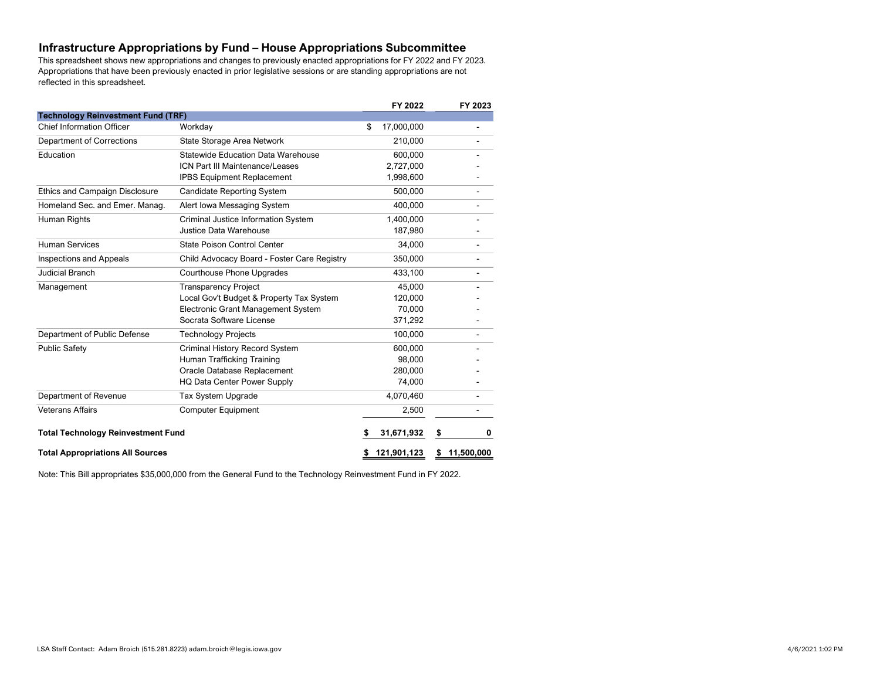### **Infrastructure Appropriations by Fund – House Appropriations Subcommittee**

This spreadsheet shows new appropriations and changes to previously enacted appropriations for FY 2022 and FY 2023. Appropriations that have been previously enacted in prior legislative sessions or are standing appropriations are not reflected in this spreadsheet.

|                                           |                                             |    | FY 2022     | FY 2023          |
|-------------------------------------------|---------------------------------------------|----|-------------|------------------|
| <b>Technology Reinvestment Fund (TRF)</b> |                                             |    |             |                  |
| <b>Chief Information Officer</b>          | Workday                                     | \$ | 17,000,000  |                  |
| Department of Corrections                 | State Storage Area Network                  |    | 210,000     |                  |
| Education                                 | Statewide Education Data Warehouse          |    | 600.000     |                  |
|                                           | ICN Part III Maintenance/Leases             |    | 2,727,000   |                  |
|                                           | <b>IPBS Equipment Replacement</b>           |    | 1,998,600   |                  |
| <b>Ethics and Campaign Disclosure</b>     | <b>Candidate Reporting System</b>           |    | 500.000     |                  |
| Homeland Sec. and Emer. Manag.            | Alert Iowa Messaging System                 |    | 400.000     |                  |
| Human Rights                              | Criminal Justice Information System         |    | 1.400.000   |                  |
|                                           | Justice Data Warehouse                      |    | 187,980     |                  |
| Human Services                            | State Poison Control Center                 |    | 34,000      |                  |
| <b>Inspections and Appeals</b>            | Child Advocacy Board - Foster Care Registry |    | 350,000     |                  |
| <b>Judicial Branch</b>                    | Courthouse Phone Upgrades                   |    | 433,100     |                  |
| Management                                | <b>Transparency Project</b>                 |    | 45,000      |                  |
|                                           | Local Gov't Budget & Property Tax System    |    | 120,000     |                  |
|                                           | Electronic Grant Management System          |    | 70.000      |                  |
|                                           | Socrata Software License                    |    | 371,292     |                  |
| Department of Public Defense              | <b>Technology Projects</b>                  |    | 100,000     |                  |
| <b>Public Safety</b>                      | Criminal History Record System              |    | 600,000     |                  |
|                                           | Human Trafficking Training                  |    | 98.000      |                  |
|                                           | Oracle Database Replacement                 |    | 280.000     |                  |
|                                           | HQ Data Center Power Supply                 |    | 74.000      |                  |
| Department of Revenue                     | Tax System Upgrade                          |    | 4,070,460   |                  |
| <b>Veterans Affairs</b>                   | <b>Computer Equipment</b>                   |    | 2,500       |                  |
| <b>Total Technology Reinvestment Fund</b> |                                             |    | 31,671,932  | \$<br>0          |
| <b>Total Appropriations All Sources</b>   |                                             |    | 121,901,123 | \$<br>11,500,000 |

Note: This Bill appropriates \$35,000,000 from the General Fund to the Technology Reinvestment Fund in FY 2022.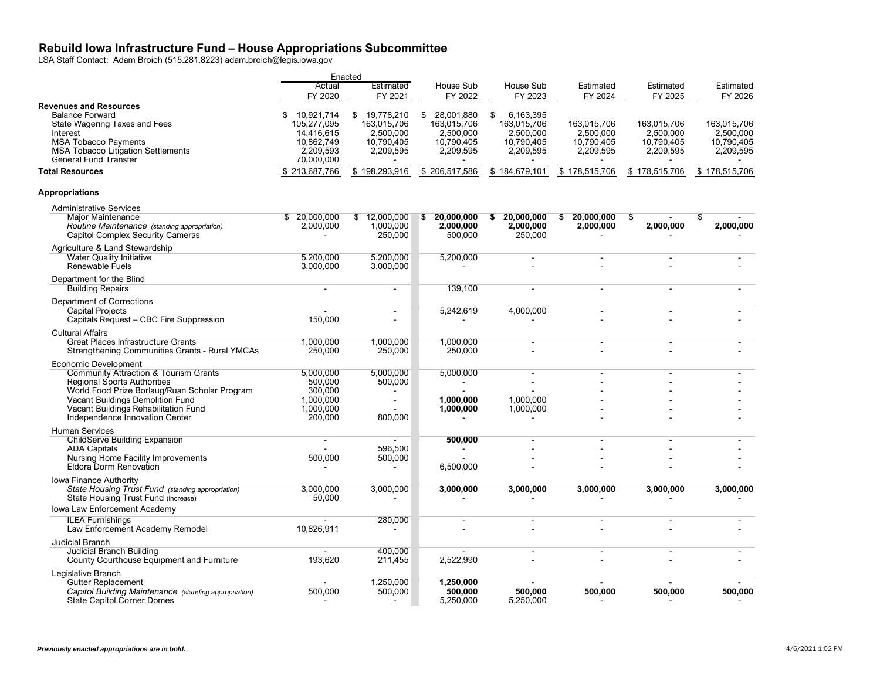#### **Rebuild Iowa Infrastructure Fund – House Appropriations Subcommittee**

LSA Staff Contact: Adam Broich (515.281.8223) adam.broich@legis.iowa.gov

|                                                                                                                                                                                                                  |                                                                                        | Enacted                                                              |                                                                         |                                                                        |                                                     |                                                     |                                                     |
|------------------------------------------------------------------------------------------------------------------------------------------------------------------------------------------------------------------|----------------------------------------------------------------------------------------|----------------------------------------------------------------------|-------------------------------------------------------------------------|------------------------------------------------------------------------|-----------------------------------------------------|-----------------------------------------------------|-----------------------------------------------------|
|                                                                                                                                                                                                                  | Actual<br>FY 2020                                                                      | Estimated<br>FY 2021                                                 | House Sub<br>FY 2022                                                    | House Sub<br>FY 2023                                                   | Estimated<br>FY 2024                                | Estimated<br>FY 2025                                | Estimated<br>FY 2026                                |
| <b>Revenues and Resources</b><br><b>Balance Forward</b><br>State Wagering Taxes and Fees<br>Interest<br><b>MSA Tobacco Payments</b><br><b>MSA Tobacco Litigation Settlements</b><br><b>General Fund Transfer</b> | 10,921,714<br>£.<br>105,277,095<br>14,416,615<br>10,862,749<br>2,209,593<br>70,000,000 | \$ 19,778,210<br>163,015,706<br>2,500,000<br>10,790,405<br>2,209,595 | 28,001,880<br>S.<br>163,015,706<br>2,500,000<br>10,790,405<br>2,209,595 | 6,163,395<br>\$<br>163,015,706<br>2,500,000<br>10,790,405<br>2,209,595 | 163,015,706<br>2,500,000<br>10,790,405<br>2,209,595 | 163,015,706<br>2,500,000<br>10,790,405<br>2,209,595 | 163,015,706<br>2,500,000<br>10,790,405<br>2,209,595 |
| <b>Total Resources</b>                                                                                                                                                                                           | \$213,687,766                                                                          | \$198,293,916                                                        | \$206,517,586                                                           | \$184,679,101                                                          | \$178,515,706                                       | \$178,515,706                                       | \$178,515,706                                       |
| <b>Appropriations</b>                                                                                                                                                                                            |                                                                                        |                                                                      |                                                                         |                                                                        |                                                     |                                                     |                                                     |
| <b>Administrative Services</b>                                                                                                                                                                                   |                                                                                        |                                                                      |                                                                         |                                                                        |                                                     |                                                     |                                                     |
| <b>Major Maintenance</b><br>Routine Maintenance (standing appropriation)<br><b>Capitol Complex Security Cameras</b>                                                                                              | \$ 20,000,000<br>2,000,000                                                             | 12,000,000<br>\$<br>1,000,000<br>250,000                             | \$20.000.000<br>2,000,000<br>500,000                                    | 20,000,000<br>S<br>2.000.000<br>250,000                                | \$20,000,000<br>2,000,000                           | - \$<br>2,000,000                                   | \$<br>2,000,000                                     |
| Agriculture & Land Stewardship                                                                                                                                                                                   |                                                                                        |                                                                      |                                                                         |                                                                        |                                                     |                                                     |                                                     |
| <b>Water Quality Initiative</b><br>Renewable Fuels                                                                                                                                                               | 5,200,000<br>3,000,000                                                                 | 5,200,000<br>3,000,000                                               | 5,200,000                                                               |                                                                        |                                                     |                                                     |                                                     |
| Department for the Blind<br><b>Building Repairs</b>                                                                                                                                                              | $\sim$                                                                                 | $\sim$                                                               | 139.100                                                                 |                                                                        |                                                     |                                                     |                                                     |
| Department of Corrections                                                                                                                                                                                        |                                                                                        |                                                                      |                                                                         |                                                                        |                                                     |                                                     |                                                     |
| <b>Capital Projects</b><br>Capitals Request - CBC Fire Suppression                                                                                                                                               | 150,000                                                                                | $\sim$<br>$\overline{a}$                                             | 5,242,619                                                               | 4,000,000                                                              |                                                     | $\blacksquare$                                      |                                                     |
| <b>Cultural Affairs</b><br>Great Places Infrastructure Grants<br><b>Strengthening Communities Grants - Rural YMCAs</b>                                                                                           | 1,000,000<br>250,000                                                                   | 1,000,000<br>250,000                                                 | 1,000,000<br>250,000                                                    |                                                                        |                                                     |                                                     |                                                     |
| <b>Economic Development</b>                                                                                                                                                                                      |                                                                                        |                                                                      |                                                                         |                                                                        |                                                     |                                                     |                                                     |
| <b>Community Attraction &amp; Tourism Grants</b><br><b>Regional Sports Authorities</b>                                                                                                                           | 5,000,000<br>500,000                                                                   | 5,000,000<br>500,000                                                 | 5,000,000                                                               |                                                                        |                                                     |                                                     |                                                     |
| World Food Prize Borlaug/Ruan Scholar Program                                                                                                                                                                    | 300,000                                                                                |                                                                      |                                                                         |                                                                        |                                                     |                                                     |                                                     |
| Vacant Buildings Demolition Fund                                                                                                                                                                                 | 1,000,000                                                                              |                                                                      | 1,000,000                                                               | 1,000,000                                                              |                                                     |                                                     |                                                     |
| Vacant Buildings Rehabilitation Fund<br>Independence Innovation Center                                                                                                                                           | 1,000,000<br>200,000                                                                   | 800,000                                                              | 1,000,000                                                               | 1,000,000                                                              |                                                     |                                                     |                                                     |
| <b>Human Services</b>                                                                                                                                                                                            |                                                                                        |                                                                      |                                                                         |                                                                        |                                                     |                                                     |                                                     |
| <b>ChildServe Building Expansion</b><br><b>ADA Capitals</b>                                                                                                                                                      |                                                                                        | 596,500                                                              | 500,000                                                                 |                                                                        |                                                     |                                                     |                                                     |
| Nursing Home Facility Improvements                                                                                                                                                                               | 500,000                                                                                | 500,000                                                              |                                                                         |                                                                        |                                                     |                                                     |                                                     |
| <b>Eldora Dorm Renovation</b>                                                                                                                                                                                    |                                                                                        |                                                                      | 6,500,000                                                               |                                                                        |                                                     |                                                     |                                                     |
| Iowa Finance Authority<br>State Housing Trust Fund (standing appropriation)                                                                                                                                      | 3,000,000                                                                              | 3,000,000                                                            | 3,000,000                                                               | 3,000,000                                                              | 3,000,000                                           | 3,000,000                                           | 3,000,000                                           |
| State Housing Trust Fund (increase)                                                                                                                                                                              | 50,000                                                                                 |                                                                      |                                                                         |                                                                        |                                                     |                                                     |                                                     |
| Iowa Law Enforcement Academy<br><b>ILEA Furnishings</b>                                                                                                                                                          |                                                                                        |                                                                      |                                                                         |                                                                        |                                                     |                                                     |                                                     |
| Law Enforcement Academy Remodel                                                                                                                                                                                  | 10,826,911                                                                             | 280,000                                                              |                                                                         |                                                                        |                                                     |                                                     |                                                     |
| <b>Judicial Branch</b>                                                                                                                                                                                           |                                                                                        |                                                                      |                                                                         |                                                                        |                                                     |                                                     |                                                     |
| Judicial Branch Building<br>County Courthouse Equipment and Furniture                                                                                                                                            | 193,620                                                                                | 400,000<br>211,455                                                   | 2,522,990                                                               |                                                                        |                                                     |                                                     |                                                     |
| Legislative Branch                                                                                                                                                                                               |                                                                                        |                                                                      |                                                                         |                                                                        |                                                     |                                                     |                                                     |
| <b>Gutter Replacement</b><br>Capitol Building Maintenance (standing appropriation)<br><b>State Capitol Corner Domes</b>                                                                                          | 500,000                                                                                | 1,250,000<br>500,000                                                 | 1,250,000<br>500.000<br>5,250,000                                       | 500.000<br>5,250,000                                                   | 500.000                                             | 500,000                                             | 500,000                                             |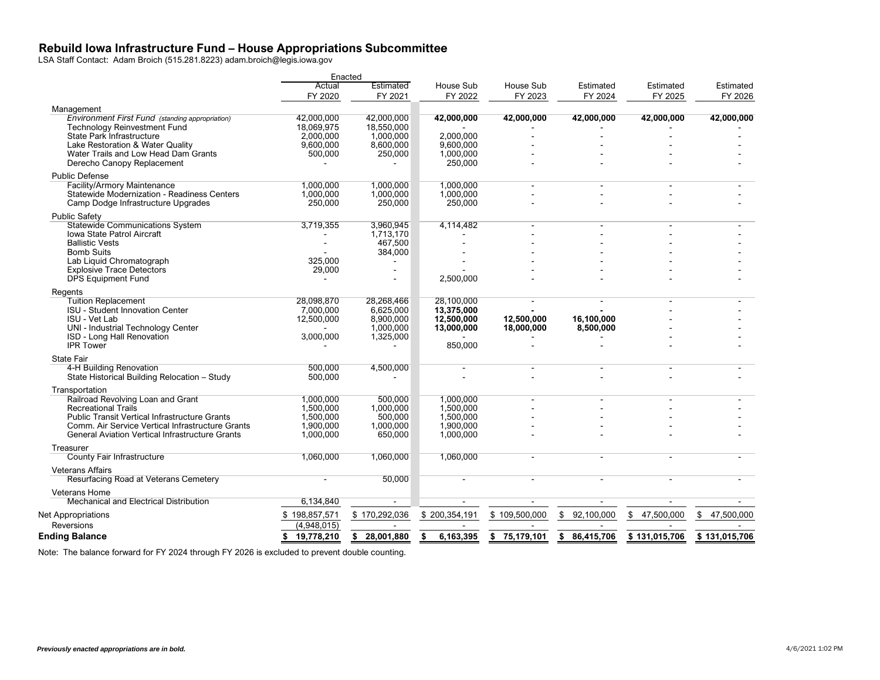#### **Rebuild Iowa Infrastructure Fund – House Appropriations Subcommittee**

LSA Staff Contact: Adam Broich (515.281.8223) adam.broich@legis.iowa.gov

|                                                        |                  | Enacted                |                 |                  |                  |                  |               |
|--------------------------------------------------------|------------------|------------------------|-----------------|------------------|------------------|------------------|---------------|
|                                                        | Actual           | Estimated              | House Sub       | House Sub        | Estimated        | Estimated        | Estimated     |
|                                                        | FY 2020          | FY 2021                | FY 2022         | FY 2023          | FY 2024          | FY 2025          | FY 2026       |
| Management                                             |                  |                        |                 |                  |                  |                  |               |
| Environment First Fund (standing appropriation)        | 42,000,000       | 42,000,000             | 42,000,000      | 42,000,000       | 42,000,000       | 42,000,000       | 42,000,000    |
| <b>Technology Reinvestment Fund</b>                    | 18,069,975       | 18,550,000             |                 |                  |                  |                  |               |
| State Park Infrastructure                              | 2,000,000        | 1,000,000              | 2,000,000       |                  |                  |                  |               |
| Lake Restoration & Water Quality                       | 9,600,000        | 8,600,000              | 9.600.000       |                  |                  |                  |               |
| Water Trails and Low Head Dam Grants                   | 500,000          | 250,000                | 1,000,000       |                  |                  |                  |               |
| Derecho Canopy Replacement                             |                  |                        | 250,000         |                  |                  |                  |               |
| <b>Public Defense</b>                                  |                  |                        |                 |                  |                  |                  |               |
| <b>Facility/Armory Maintenance</b>                     | 1,000,000        | 1,000,000              | 1,000,000       |                  |                  |                  |               |
| Statewide Modernization - Readiness Centers            | 1,000,000        | 1,000,000              | 1,000,000       |                  |                  |                  |               |
| Camp Dodge Infrastructure Upgrades                     | 250,000          | 250,000                | 250,000         |                  |                  |                  |               |
| <b>Public Safety</b>                                   |                  |                        |                 |                  |                  |                  |               |
| <b>Statewide Communications System</b>                 | 3,719,355        | 3,960,945              | 4,114,482       |                  |                  |                  |               |
| Iowa State Patrol Aircraft                             |                  | 1,713,170              |                 |                  |                  |                  |               |
| <b>Ballistic Vests</b>                                 |                  | 467,500                |                 |                  |                  |                  |               |
| <b>Bomb Suits</b>                                      |                  | 384,000                |                 |                  |                  |                  |               |
| Lab Liquid Chromatograph                               | 325,000          |                        |                 |                  |                  |                  |               |
| <b>Explosive Trace Detectors</b>                       | 29,000           | $\sim$                 |                 |                  |                  |                  |               |
| <b>DPS Equipment Fund</b>                              |                  |                        | 2,500,000       |                  |                  |                  |               |
| Regents                                                |                  |                        |                 |                  |                  |                  |               |
| <b>Tuition Replacement</b>                             | 28,098,870       | 28,268,466             | 28,100,000      |                  |                  |                  |               |
| <b>ISU - Student Innovation Center</b>                 | 7.000.000        | 6,625,000              | 13.375.000      |                  |                  |                  |               |
| <b>ISU - Vet Lab</b>                                   | 12,500,000       | 8,900,000              | 12,500,000      | 12,500,000       | 16,100,000       |                  |               |
| UNI - Industrial Technology Center                     |                  | 1,000,000<br>1,325,000 | 13,000,000      | 18,000,000       | 8,500,000        |                  |               |
| ISD - Long Hall Renovation<br><b>IPR Tower</b>         | 3,000,000        |                        | 850,000         |                  |                  |                  |               |
|                                                        |                  |                        |                 |                  |                  |                  |               |
| <b>State Fair</b>                                      |                  |                        |                 |                  |                  |                  |               |
| 4-H Building Renovation                                | 500,000          | 4,500,000              |                 |                  |                  |                  |               |
| State Historical Building Relocation - Study           | 500,000          |                        |                 |                  |                  |                  |               |
| Transportation                                         |                  |                        |                 |                  |                  |                  |               |
| Railroad Revolving Loan and Grant                      | 1,000,000        | 500,000                | 1,000,000       |                  |                  |                  |               |
| <b>Recreational Trails</b>                             | 1,500,000        | 1,000,000              | 1,500,000       |                  |                  |                  |               |
| <b>Public Transit Vertical Infrastructure Grants</b>   | 1,500,000        | 500,000                | 1,500,000       |                  |                  |                  |               |
| Comm. Air Service Vertical Infrastructure Grants       | 1,900,000        | 1,000,000              | 1,900,000       |                  |                  |                  |               |
| <b>General Aviation Vertical Infrastructure Grants</b> | 1,000,000        | 650,000                | 1,000,000       |                  |                  |                  |               |
| Treasurer                                              |                  |                        |                 |                  |                  |                  |               |
| County Fair Infrastructure                             | 1,060,000        | 1,060,000              | 1,060,000       |                  |                  |                  |               |
| <b>Veterans Affairs</b>                                |                  |                        |                 |                  |                  |                  |               |
| Resurfacing Road at Veterans Cemetery                  |                  | 50,000                 |                 |                  |                  |                  |               |
| <b>Veterans Home</b>                                   |                  |                        |                 |                  |                  |                  |               |
| Mechanical and Electrical Distribution                 | 6,134,840        | $\blacksquare$         |                 |                  |                  |                  |               |
| Net Appropriations                                     | \$198,857,571    | \$170,292,036          | \$200,354,191   | \$109,500,000    | \$92,100,000     | \$<br>47,500,000 | \$47,500,000  |
| Reversions                                             | (4,948,015)      |                        |                 |                  |                  |                  |               |
| <b>Ending Balance</b>                                  | \$<br>19,778,210 | 28,001,880<br>\$       | 6,163,395<br>\$ | 75,179,101<br>\$ | 86,415,706<br>\$ | \$131,015,706    | \$131,015,706 |
|                                                        |                  |                        |                 |                  |                  |                  |               |

Note: The balance forward for FY 2024 through FY 2026 is excluded to prevent double counting.